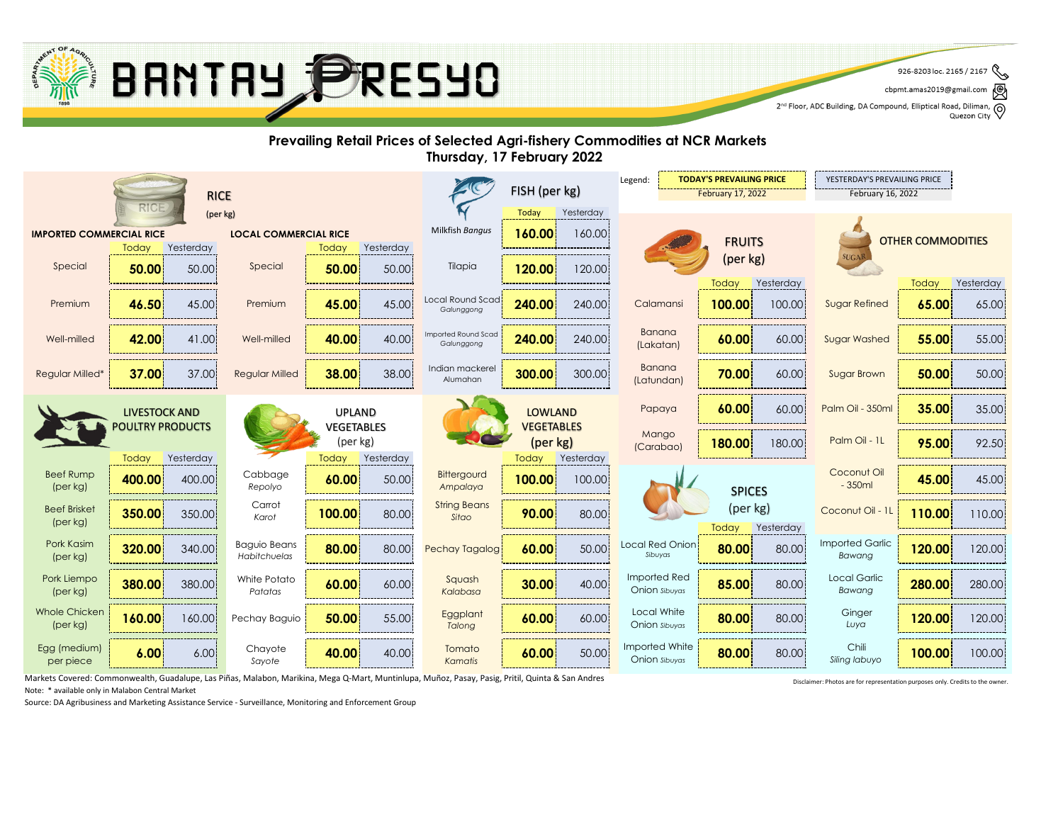Markets Covered: Commonwealth, Guadalupe, Las Piñas, Malabon, Marikina, Mega Q-Mart, Muntinlupa, Muñoz, Pasay, Pasig, Pritil, Quinta & San Andres Note: \* available only in Malabon Central Market

Source: DA Agribusiness and Marketing Assistance Service - Surveillance, Monitoring and Enforcement Group



|                                                                 |                                                 |           |                                     |                                    |                 |                                   | <b>TODAY'S PREVAILING PRICE</b><br>Legend: |           | YESTERDAY'S PREVAILING PRICE           |                          |                     |                                  |                |                    |
|-----------------------------------------------------------------|-------------------------------------------------|-----------|-------------------------------------|------------------------------------|-----------------|-----------------------------------|--------------------------------------------|-----------|----------------------------------------|--------------------------|---------------------|----------------------------------|----------------|--------------------|
| <b>RICE</b>                                                     |                                                 |           |                                     |                                    | FISH (per kg)   |                                   | February 17, 2022                          |           | February 16, 2022                      |                          |                     |                                  |                |                    |
| <b>RICE</b><br>(per kg)                                         |                                                 |           |                                     |                                    |                 | Today<br>Yesterday                |                                            |           |                                        |                          |                     |                                  |                |                    |
| <b>IMPORTED COMMERCIAL RICE</b><br><b>LOCAL COMMERCIAL RICE</b> |                                                 |           |                                     |                                    | Milkfish Bangus | 160.00<br>160.00                  |                                            |           |                                        | <b>OTHER COMMODITIES</b> |                     |                                  |                |                    |
|                                                                 | Today                                           | Yesterday |                                     | Today                              | Yesterday       |                                   |                                            |           |                                        | <b>FRUITS</b>            |                     |                                  |                |                    |
| Special                                                         | 50.00                                           | 50.00     | Special                             | 50.00                              | 50.00           | Tilapia                           | 120.00                                     | 120.00    |                                        | (per kg)                 |                     | SUGAR                            |                |                    |
| Premium                                                         | 46.50                                           | 45.00     | Premium                             | 45.00                              | 45.00           | Local Round Scad<br>Galunggong    | 240.00                                     | 240.00    | Calamansi                              | Today<br>100.00          | Yesterday<br>100.00 | <b>Sugar Refined</b>             | Today<br>65.00 | Yesterday<br>65.00 |
| Well-milled                                                     | 42.00                                           | 41.00     | Well-milled                         | 40.00                              | 40.00           | Imported Round Scad<br>Galunggong | 240.00                                     | 240.00    | <b>Banana</b><br>(Lakatan)             | 60.00                    | 60.00               | <b>Sugar Washed</b>              | 55.00          | 55.00              |
| <b>Regular Milled*</b>                                          | 37.00                                           | 37.00     | <b>Regular Milled</b>               | 38.00                              | 38.00           | Indian mackerel<br>Alumahan       | 300.00                                     | 300.00    | <b>Banana</b><br>(Latundan)            | 70.00                    | 60.00               | <b>Sugar Brown</b>               | 50.00          | 50.00              |
|                                                                 | <b>LIVESTOCK AND</b><br><b>POULTRY PRODUCTS</b> |           |                                     | <b>UPLAND</b><br><b>VEGETABLES</b> |                 |                                   | <b>LOWLAND</b><br><b>VEGETABLES</b>        |           | Papaya                                 | 60.00                    | 60.00               | Palm Oil - 350ml                 | 35.00          | 35.00              |
|                                                                 | Today                                           | Yesterday |                                     | (per kg)<br>Today                  | Yesterday       |                                   | (per kg)<br>Today                          | Yesterday | Mango<br>(Carabao)                     | 180.00                   | 180.00              | Palm Oil - 1L                    | 95.00          | 92.50              |
| <b>Beef Rump</b><br>(per kg)                                    | 400.00                                          | 400.00    | Cabbage<br>Repolyo                  | 60.00                              | 50.00           | <b>Bittergourd</b><br>Ampalaya    | 100.00                                     | 100.00    |                                        | <b>SPICES</b>            |                     | Coconut Oil<br>$-350ml$          | 45.00          | 45.00              |
| <b>Beef Brisket</b><br>(per kg)                                 | 350.00                                          | 350.00    | Carrot<br>Karot                     | 100.00                             | 80.00           | <b>String Beans</b><br>Sitao      | 90.00                                      | 80.00     |                                        | (per kg)<br>Today        | Yesterday           | Coconut Oil - 1L                 | 110.00         | 110.00             |
| Pork Kasim<br>(per kg)                                          | 320.00                                          | 340.00    | <b>Baguio Beans</b><br>Habitchuelas | 80.00                              | 80.00           | Pechay Tagalog!                   | 60.00                                      | 50.00     | Local Red Onion!<br>Sibuyas            | 80.00                    | 80.00               | <b>Imported Garlic</b><br>Bawang | 120.00         | 120.00             |
| Pork Liempo<br>(per kg)                                         | 380.00                                          | 380.00    | White Potato<br>Patatas             | 60.00                              | 60.00           | Squash<br>Kalabasa                | 30.00                                      | 40.00     | Imported Red<br>Onion sibuyas          | 85.00                    | 80.00               | Local Garlic<br>Bawang           | 280.00         | 280.00             |
| <b>Whole Chicken</b><br>(per kg)                                | 160.00                                          | 160.00    | Pechay Baguio                       | 50.00                              | 55.00           | Eggplant<br>Talong                | 60.00                                      | 60.00     | Local White<br>Onion sibuyas           | 80.00                    | 80.00               | Ginger<br>Luya                   | 120.00         | 120.00             |
| Egg (medium)<br>per piece                                       | 6.00                                            | 6.00      | Chayote<br>Sayote                   | 40.00                              | 40.00           | Tomato<br>Kamatis                 | 60.00                                      | 50.00     | Imported White<br><b>Onion Sibuyas</b> | 80.00                    | 80.00               | Chili<br>Siling labuyo           | 100.00         | 100.00             |



#### **Prevailing Retail Prices of Selected Agri-fishery Commodities at NCR Markets Thursday, 17 February 2022**

Disclaimer: Photos are for representation purposes only. Credits to the owner.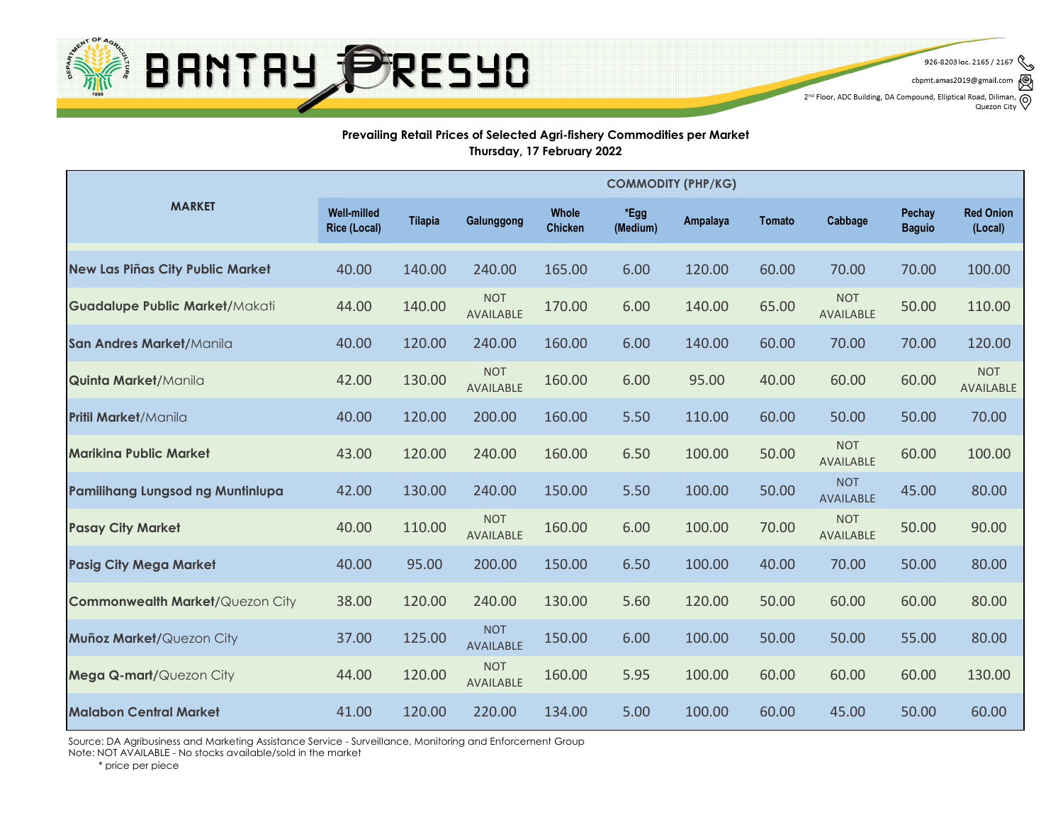

926-8203 loc. 2165 / 2167 cbpmt.amas2019@gmail.com

2<sup>nd</sup> Floor, ADC Building, DA Compound, Elliptical Road, Diliman, Q<br>Quezon City

Quezon City

#### **Prevailing Retail Prices of Selected Agri-fishery Commodities per Market Thursday, 17 February 2022**

|                                         | <b>COMMODITY (PHP/KG)</b>                 |                |                                |                                |                  |          |               |                                |                                |                                |
|-----------------------------------------|-------------------------------------------|----------------|--------------------------------|--------------------------------|------------------|----------|---------------|--------------------------------|--------------------------------|--------------------------------|
| <b>MARKET</b>                           | <b>Well-milled</b><br><b>Rice (Local)</b> | <b>Tilapia</b> | Galunggong                     | <b>Whole</b><br><b>Chicken</b> | *Egg<br>(Medium) | Ampalaya | <b>Tomato</b> | Cabbage                        | <b>Pechay</b><br><b>Baguio</b> | <b>Red Onion</b><br>(Local)    |
| New Las Piñas City Public Market        | 40.00                                     | 140.00         | 240.00                         | 165.00                         | 6.00             | 120.00   | 60.00         | 70.00                          | 70.00                          | 100.00                         |
| Guadalupe Public Market/Makati          | 44.00                                     | 140.00         | <b>NOT</b><br><b>AVAILABLE</b> | 170.00                         | 6.00             | 140.00   | 65.00         | <b>NOT</b><br><b>AVAILABLE</b> | 50.00                          | 110.00                         |
| San Andres Market/Manila                | 40.00                                     | 120.00         | 240.00                         | 160.00                         | 6.00             | 140.00   | 60.00         | 70.00                          | 70.00                          | 120.00                         |
| <b>Quinta Market/Manila</b>             | 42.00                                     | 130.00         | <b>NOT</b><br><b>AVAILABLE</b> | 160.00                         | 6.00             | 95.00    | 40.00         | 60.00                          | 60.00                          | <b>NOT</b><br><b>AVAILABLE</b> |
| <b>Pritil Market/Manila</b>             | 40.00                                     | 120.00         | 200.00                         | 160.00                         | 5.50             | 110.00   | 60.00         | 50.00                          | 50.00                          | 70.00                          |
| <b>Marikina Public Market</b>           | 43.00                                     | 120.00         | 240.00                         | 160.00                         | 6.50             | 100.00   | 50.00         | <b>NOT</b><br><b>AVAILABLE</b> | 60.00                          | 100.00                         |
| <b>Pamilihang Lungsod ng Muntinlupa</b> | 42.00                                     | 130.00         | 240.00                         | 150.00                         | 5.50             | 100.00   | 50.00         | <b>NOT</b><br><b>AVAILABLE</b> | 45.00                          | 80.00                          |
| <b>Pasay City Market</b>                | 40.00                                     | 110.00         | <b>NOT</b><br><b>AVAILABLE</b> | 160.00                         | 6.00             | 100.00   | 70.00         | <b>NOT</b><br><b>AVAILABLE</b> | 50.00                          | 90.00                          |
| <b>Pasig City Mega Market</b>           | 40.00                                     | 95.00          | 200.00                         | 150.00                         | 6.50             | 100.00   | 40.00         | 70.00                          | 50.00                          | 80.00                          |
| <b>Commonwealth Market/Quezon City</b>  | 38.00                                     | 120.00         | 240.00                         | 130.00                         | 5.60             | 120.00   | 50.00         | 60.00                          | 60.00                          | 80.00                          |
| <b>Muñoz Market/Quezon City</b>         | 37.00                                     | 125.00         | <b>NOT</b><br><b>AVAILABLE</b> | 150.00                         | 6.00             | 100.00   | 50.00         | 50.00                          | 55.00                          | 80.00                          |
| <b>Mega Q-mart/Quezon City</b>          | 44.00                                     | 120.00         | <b>NOT</b><br>AVAILABLE        | 160.00                         | 5.95             | 100.00   | 60.00         | 60.00                          | 60.00                          | 130.00                         |
| <b>Malabon Central Market</b>           | 41.00                                     | 120.00         | 220.00                         | 134.00                         | 5.00             | 100.00   | 60.00         | 45.00                          | 50.00                          | 60.00                          |

Source: DA Agribusiness and Marketing Assistance Service - Surveillance, Monitoring and Enforcement Group Note: NOT AVAILABLE - No stocks available/sold in the market

\* price per piece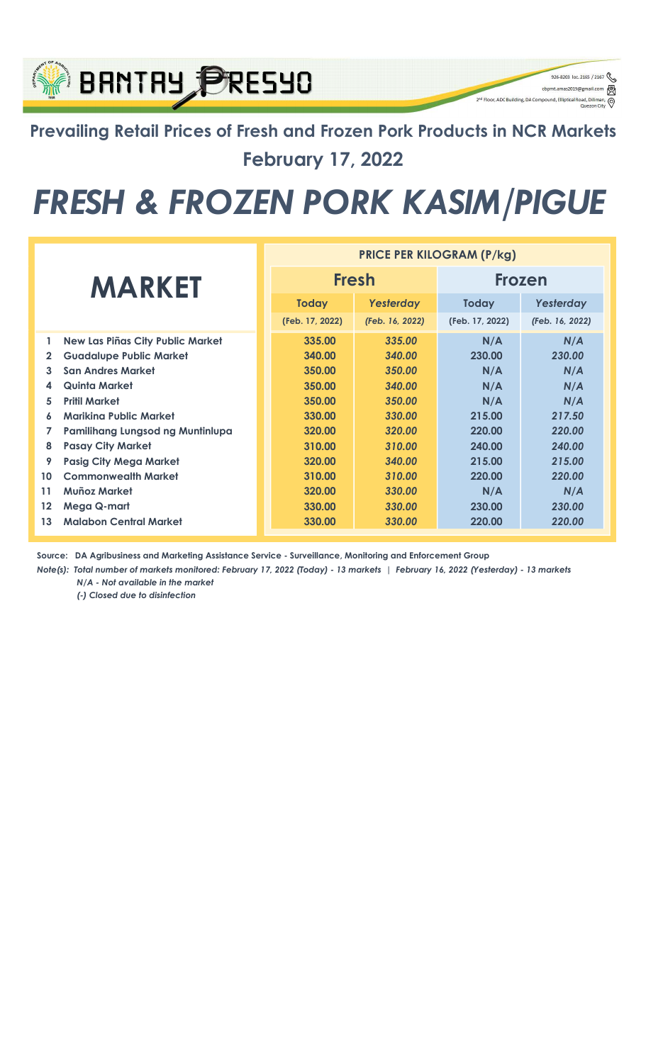### Prevailing Retail Prices of Fresh and Frozen Pork Products in NCR Markets February 17, 2022

926-8203 loc. 2165 / 2167

q

⊚

cbpmt.amas2019@gn

2<sup>nd</sup> Floor, ADC Building, DA Compound, Elliptical Re

**BRNTRY PRESYO** 

## FRESH & FROZEN PORK KASIM/PIGUE

|              |                                  | <b>PRICE PER KILOGRAM (P/kg)</b> |                 |                 |                 |  |  |  |
|--------------|----------------------------------|----------------------------------|-----------------|-----------------|-----------------|--|--|--|
|              | <b>MARKET</b>                    |                                  | <b>Fresh</b>    | <b>Frozen</b>   |                 |  |  |  |
|              |                                  | <b>Today</b>                     | Yesterday       | <b>Today</b>    | Yesterday       |  |  |  |
|              |                                  | (Feb. 17, 2022)                  | (Feb. 16, 2022) | (Feb. 17, 2022) | (Feb. 16, 2022) |  |  |  |
| 1            | New Las Piñas City Public Market | 335.00                           | 335.00          | N/A             | N/A             |  |  |  |
| $\mathbf{2}$ | <b>Guadalupe Public Market</b>   | 340.00                           | 340.00          | 230.00          | 230.00          |  |  |  |
| 3            | <b>San Andres Market</b>         | 350.00                           | 350.00          | N/A             | N/A             |  |  |  |
| 4            | Quinta Market                    | 350.00                           | 340.00          | N/A             | N/A             |  |  |  |
| 5            | <b>Pritil Market</b>             | 350.00                           | 350.00          | N/A             | N/A             |  |  |  |
| 6            | Mariking Public Market           | 330.00                           | 330.00          | 215.00          | 217.50          |  |  |  |
| 7            | Pamilihang Lungsod ng Muntinlupa | 320.00                           | 320.00          | 220.00          | 220.00          |  |  |  |
| 8            | <b>Pasay City Market</b>         | 310.00                           | 310.00          | 240.00          | 240.00          |  |  |  |
| 9            | <b>Pasig City Mega Market</b>    | 320.00                           | 340.00          | 215.00          | 215.00          |  |  |  |
| 10           | <b>Commonwealth Market</b>       | 310.00                           | 310.00          | 220.00          | 220.00          |  |  |  |
| 11           | <b>Muñoz Market</b>              | 320.00                           | 330.00          | N/A             | N/A             |  |  |  |
| 12           | Mega Q-mart                      | 330.00                           | 330.00          | 230.00          | 230.00          |  |  |  |
| 13           | <b>Malabon Central Market</b>    | 330.00                           | 330.00          | 220.00          | 220.00          |  |  |  |

Source: DA Agribusiness and Marketing Assistance Service - Surveillance, Monitoring and Enforcement Group

Note(s): Total number of markets monitored: February 17, 2022 (Today) - 13 markets | February 16, 2022 (Yesterday) - 13 markets N/A - Not available in the market

(-) Closed due to disinfection